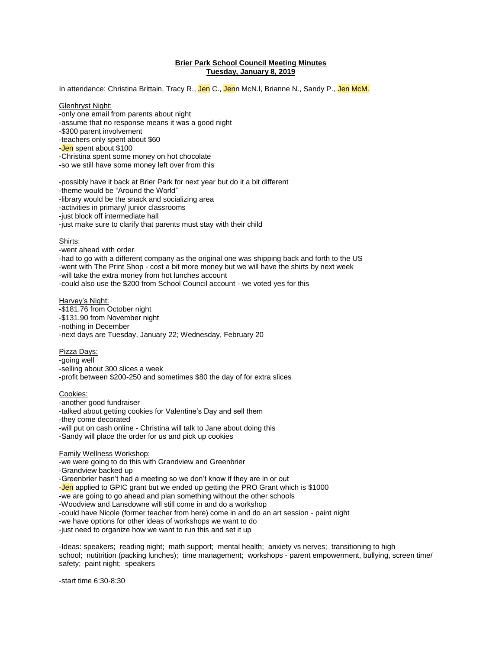# **Brier Park School Council Meeting Minutes Tuesday, January 8, 2019**

In attendance: Christina Brittain, Tracy R., Jen C., Jenn McN.I, Brianne N., Sandy P., Jen McM.

## Glenhryst Night:

-only one email from parents about night -assume that no response means it was a good night -\$300 parent involvement -teachers only spent about \$60 -Jen spent about \$100 -Christina spent some money on hot chocolate -so we still have some money left over from this -possibly have it back at Brier Park for next year but do it a bit different -theme would be "Around the World" -library would be the snack and socializing area

-activities in primary/ junior classrooms

-just block off intermediate hall

-just make sure to clarify that parents must stay with their child

#### Shirts:

-went ahead with order -had to go with a different company as the original one was shipping back and forth to the US -went with The Print Shop - cost a bit more money but we will have the shirts by next week -will take the extra money from hot lunches account -could also use the \$200 from School Council account - we voted yes for this

Harvey's Night: -\$181.76 from October night -\$131.90 from November night -nothing in December -next days are Tuesday, January 22; Wednesday, February 20

Pizza Days: -going well -selling about 300 slices a week -profit between \$200-250 and sometimes \$80 the day of for extra slices

## Cookies:

-another good fundraiser -talked about getting cookies for Valentine's Day and sell them -they come decorated -will put on cash online - Christina will talk to Jane about doing this -Sandy will place the order for us and pick up cookies

#### Family Wellness Workshop:

-we were going to do this with Grandview and Greenbrier

-Grandview backed up

-Greenbrier hasn't had a meeting so we don't know if they are in or out

-**Jen** applied to GPIC grant but we ended up getting the PRO Grant which is \$1000

-we are going to go ahead and plan something without the other schools

-Woodview and Lansdowne will still come in and do a workshop

-could have Nicole (former teacher from here) come in and do an art session - paint night

-we have options for other ideas of workshops we want to do

-just need to organize how we want to run this and set it up

-Ideas: speakers; reading night; math support; mental health; anxiety vs nerves; transitioning to high school; nutitrition (packing lunches); time management; workshops - parent empowerment, bullying, screen time/ safety; paint night; speakers

-start time 6:30-8:30